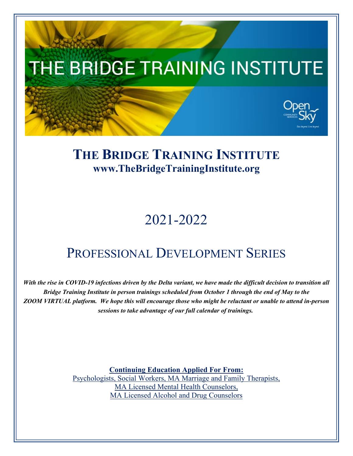

## **THE BRIDGE TRAINING INSTITUTE [www.TheBridgeTrainingInstitute.org](http://www.thebridgetraininginstitute.org/)**

# 2021-2022

## PROFESSIONAL DEVELOPMENT SERIES

*With the rise in COVID-19 infections driven by the Delta variant, we have made the difficult decision to transition all Bridge Training Institute in person trainings scheduled from October 1 through the end of May to the ZOOM VIRTUAL platform. We hope this will encourage those who might be reluctant or unable to attend in-person sessions to take advantage of our full calendar of trainings.*

> **Continuing Education Applied For From:** Psychologists, Social Workers, MA Marriage and Family Therapists, MA Licensed Mental Health Counselors, MA Licensed Alcohol and Drug Counselors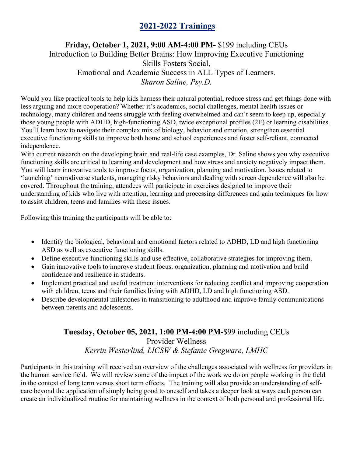## **2021-2022 Trainings**

## **Friday, October 1, 2021, 9:00 AM-4:00 PM-** \$199 including CEUs Introduction to Building Better Brains: How Improving Executive Functioning Skills Fosters Social, Emotional and Academic Success in ALL Types of Learners. *Sharon Saline, Psy.D.*

Would you like practical tools to help kids harness their natural potential, reduce stress and get things done with less arguing and more cooperation? Whether it's academics, social challenges, mental health issues or technology, many children and teens struggle with feeling overwhelmed and can't seem to keep up, especially those young people with ADHD, high-functioning ASD, twice exceptional profiles (2E) or learning disabilities. You'll learn how to navigate their complex mix of biology, behavior and emotion, strengthen essential executive functioning skills to improve both home and school experiences and foster self-reliant, connected independence.

With current research on the developing brain and real-life case examples, Dr. Saline shows you why executive functioning skills are critical to learning and development and how stress and anxiety negatively impact them. You will learn innovative tools to improve focus, organization, planning and motivation. Issues related to 'launching' neurodiverse students, managing risky behaviors and dealing with screen dependence will also be covered. Throughout the training, attendees will participate in exercises designed to improve their understanding of kids who live with attention, learning and processing differences and gain techniques for how to assist children, teens and families with these issues.

Following this training the participants will be able to:

- Identify the biological, behavioral and emotional factors related to ADHD, LD and high functioning ASD as well as executive functioning skills.
- Define executive functioning skills and use effective, collaborative strategies for improving them.
- Gain innovative tools to improve student focus, organization, planning and motivation and build confidence and resilience in students.
- Implement practical and useful treatment interventions for reducing conflict and improving cooperation with children, teens and their families living with ADHD, LD and high functioning ASD.
- Describe developmental milestones in transitioning to adulthood and improve family communications between parents and adolescents.

## **Tuesday, October 05, 2021, 1:00 PM-4:00 PM-**\$99 including CEUs Provider Wellness *Kerrin Westerlind, LICSW & Stefanie Gregware, LMHC*

Participants in this training will received an overview of the challenges associated with wellness for providers in the human service field. We will review some of the impact of the work we do on people working in the field in the context of long term versus short term effects. The training will also provide an understanding of selfcare beyond the application of simply being good to oneself and takes a deeper look at ways each person can create an individualized routine for maintaining wellness in the context of both personal and professional life.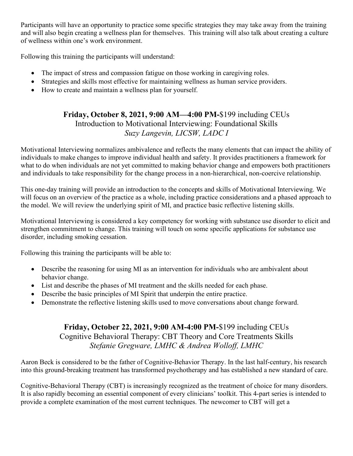Participants will have an opportunity to practice some specific strategies they may take away from the training and will also begin creating a wellness plan for themselves. This training will also talk about creating a culture of wellness within one's work environment.

Following this training the participants will understand:

- The impact of stress and compassion fatigue on those working in caregiving roles.
- Strategies and skills most effective for maintaining wellness as human service providers.
- How to create and maintain a wellness plan for yourself.

## **Friday, October 8, 2021, 9:00 AM—4:00 PM-**\$199 including CEUs Introduction to Motivational Interviewing: Foundational Skills *Suzy Langevin, LICSW, LADC I*

Motivational Interviewing normalizes ambivalence and reflects the many elements that can impact the ability of individuals to make changes to improve individual health and safety. It provides practitioners a framework for what to do when individuals are not yet committed to making behavior change and empowers both practitioners and individuals to take responsibility for the change process in a non-hierarchical, non-coercive relationship.

This one-day training will provide an introduction to the concepts and skills of Motivational Interviewing. We will focus on an overview of the practice as a whole, including practice considerations and a phased approach to the model. We will review the underlying spirit of MI, and practice basic reflective listening skills.

Motivational Interviewing is considered a key competency for working with substance use disorder to elicit and strengthen commitment to change. This training will touch on some specific applications for substance use disorder, including smoking cessation.

Following this training the participants will be able to:

- Describe the reasoning for using MI as an intervention for individuals who are ambivalent about behavior change.
- List and describe the phases of MI treatment and the skills needed for each phase.
- Describe the basic principles of MI Spirit that underpin the entire practice.
- Demonstrate the reflective listening skills used to move conversations about change forward.

## **Friday, October 22, 2021, 9:00 AM-4:00 PM-**\$199 including CEUs Cognitive Behavioral Therapy: CBT Theory and Core Treatments Skills *Stefanie Gregware, LMHC & Andrea Wolloff, LMHC*

Aaron Beck is considered to be the father of Cognitive-Behavior Therapy. In the last half-century, his research into this ground-breaking treatment has transformed psychotherapy and has established a new standard of care.

Cognitive-Behavioral Therapy (CBT) is increasingly recognized as the treatment of choice for many disorders. It is also rapidly becoming an essential component of every clinicians' toolkit. This 4-part series is intended to provide a complete examination of the most current techniques. The newcomer to CBT will get a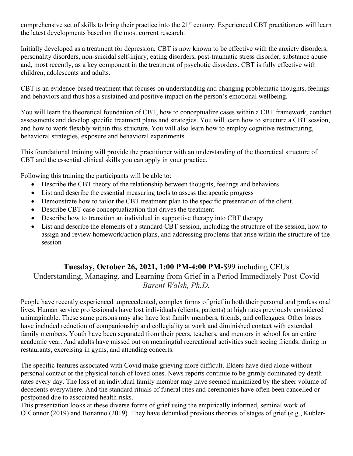comprehensive set of skills to bring their practice into the 21<sup>st</sup> century. Experienced CBT practitioners will learn the latest developments based on the most current research.

Initially developed as a treatment for depression, CBT is now known to be effective with the anxiety disorders, personality disorders, non-suicidal self-injury, eating disorders, post-traumatic stress disorder, substance abuse and, most recently, as a key component in the treatment of psychotic disorders. CBT is fully effective with children, adolescents and adults.

CBT is an evidence-based treatment that focuses on understanding and changing problematic thoughts, feelings and behaviors and thus has a sustained and positive impact on the person's emotional wellbeing.

You will learn the theoretical foundation of CBT, how to conceptualize cases within a CBT framework, conduct assessments and develop specific treatment plans and strategies. You will learn how to structure a CBT session, and how to work flexibly within this structure. You will also learn how to employ cognitive restructuring, behavioral strategies, exposure and behavioral experiments.

This foundational training will provide the practitioner with an understanding of the theoretical structure of CBT and the essential clinical skills you can apply in your practice.

Following this training the participants will be able to:

- Describe the CBT theory of the relationship between thoughts, feelings and behaviors
- List and describe the essential measuring tools to assess therapeutic progress
- Demonstrate how to tailor the CBT treatment plan to the specific presentation of the client.
- Describe CBT case conceptualization that drives the treatment
- Describe how to transition an individual in supportive therapy into CBT therapy
- List and describe the elements of a standard CBT session, including the structure of the session, how to assign and review homework/action plans, and addressing problems that arise within the structure of the session

## **Tuesday, October 26, 2021, 1:00 PM-4:00 PM-**\$99 including CEUs

Understanding, Managing, and Learning from Grief in a Period Immediately Post-Covid *Barent Walsh, Ph.D.*

People have recently experienced unprecedented, complex forms of grief in both their personal and professional lives. Human service professionals have lost individuals (clients, patients) at high rates previously considered unimaginable. These same persons may also have lost family members, friends, and colleagues. Other losses have included reduction of companionship and collegiality at work and diminished contact with extended family members. Youth have been separated from their peers, teachers, and mentors in school for an entire academic year. And adults have missed out on meaningful recreational activities such seeing friends, dining in restaurants, exercising in gyms, and attending concerts.

The specific features associated with Covid make grieving more difficult. Elders have died alone without personal contact or the physical touch of loved ones. News reports continue to be grimly dominated by death rates every day. The loss of an individual family member may have seemed minimized by the sheer volume of decedents everywhere. And the standard rituals of funeral rites and ceremonies have often been cancelled or postponed due to associated health risks.

This presentation looks at these diverse forms of grief using the empirically informed, seminal work of O'Connor (2019) and Bonanno (2019). They have debunked previous theories of stages of grief (e.g., Kubler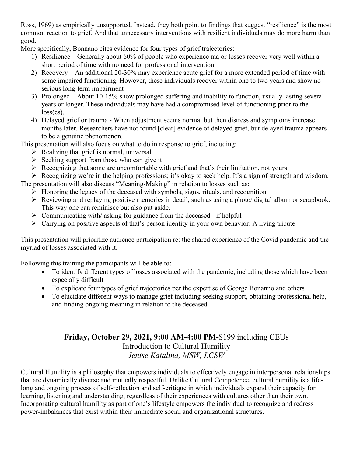Ross, 1969) as empirically unsupported. Instead, they both point to findings that suggest "resilience" is the most common reaction to grief. And that unnecessary interventions with resilient individuals may do more harm than good.

More specifically, Bonnano cites evidence for four types of grief trajectories:

- 1) Resilience Generally about 60% of people who experience major losses recover very well within a short period of time with no need for professional intervention
- 2) Recovery An additional 20-30% may experience acute grief for a more extended period of time with some impaired functioning. However, these individuals recover within one to two years and show no serious long-term impairment
- 3) Prolonged About 10-15% show prolonged suffering and inability to function, usually lasting several years or longer. These individuals may have had a compromised level of functioning prior to the loss(es).
- 4) Delayed grief or trauma When adjustment seems normal but then distress and symptoms increase months later. Researchers have not found [clear] evidence of delayed grief, but delayed trauma appears to be a genuine phenomenon.

This presentation will also focus on what to do in response to grief, including:

- $\triangleright$  Realizing that grief is normal, universal
- $\triangleright$  Seeking support from those who can give it
- $\triangleright$  Recognizing that some are uncomfortable with grief and that's their limitation, not yours
- Recognizing we're in the helping professions; it's okay to seek help. It's a sign of strength and wisdom.

The presentation will also discuss "Meaning-Making" in relation to losses such as:

- $\triangleright$  Honoring the legacy of the deceased with symbols, signs, rituals, and recognition
- Reviewing and replaying positive memories in detail, such as using a photo/ digital album or scrapbook. This way one can reminisce but also put aside.
- $\triangleright$  Communicating with/ asking for guidance from the deceased if helpful
- $\triangleright$  Carrying on positive aspects of that's person identity in your own behavior: A living tribute

This presentation will prioritize audience participation re: the shared experience of the Covid pandemic and the myriad of losses associated with it.

Following this training the participants will be able to:

- To identify different types of losses associated with the pandemic, including those which have been especially difficult
- To explicate four types of grief trajectories per the expertise of George Bonanno and others
- To elucidate different ways to manage grief including seeking support, obtaining professional help, and finding ongoing meaning in relation to the deceased

## **Friday, October 29, 2021, 9:00 AM-4:00 PM-**\$199 including CEUs Introduction to Cultural Humility *Jenise Katalina, MSW, LCSW*

Cultural Humility is a philosophy that empowers individuals to effectively engage in interpersonal relationships that are dynamically diverse and mutually respectful. Unlike Cultural Competence, cultural humility is a lifelong and ongoing process of self-reflection and self-critique in which individuals expand their capacity for learning, listening and understanding, regardless of their experiences with cultures other than their own. Incorporating cultural humility as part of one's lifestyle empowers the individual to recognize and redress power-imbalances that exist within their immediate social and organizational structures.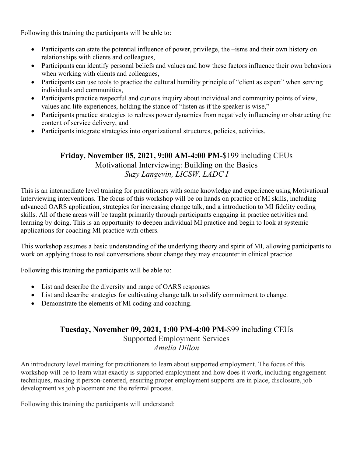Following this training the participants will be able to:

- Participants can state the potential influence of power, privilege, the –isms and their own history on relationships with clients and colleagues,
- Participants can identify personal beliefs and values and how these factors influence their own behaviors when working with clients and colleagues,
- Participants can use tools to practice the cultural humility principle of "client as expert" when serving individuals and communities,
- Participants practice respectful and curious inquiry about individual and community points of view, values and life experiences, holding the stance of "listen as if the speaker is wise,"
- Participants practice strategies to redress power dynamics from negatively influencing or obstructing the content of service delivery, and
- Participants integrate strategies into organizational structures, policies, activities.

## **Friday, November 05, 2021, 9:00 AM-4:00 PM-**\$199 including CEUs Motivational Interviewing: Building on the Basics *Suzy Langevin, LICSW, LADC I*

This is an intermediate level training for practitioners with some knowledge and experience using Motivational Interviewing interventions. The focus of this workshop will be on hands on practice of MI skills, including advanced OARS application, strategies for increasing change talk, and a introduction to MI fidelity coding skills. All of these areas will be taught primarily through participants engaging in practice activities and learning by doing. This is an opportunity to deepen individual MI practice and begin to look at systemic applications for coaching MI practice with others.

This workshop assumes a basic understanding of the underlying theory and spirit of MI, allowing participants to work on applying those to real conversations about change they may encounter in clinical practice.

Following this training the participants will be able to:

- List and describe the diversity and range of OARS responses
- List and describe strategies for cultivating change talk to solidify commitment to change.
- Demonstrate the elements of MI coding and coaching.

#### **Tuesday, November 09, 2021, 1:00 PM-4:00 PM-**\$99 including CEUs

Supported Employment Services *Amelia Dillon*

An introductory level training for practitioners to learn about supported employment. The focus of this workshop will be to learn what exactly is supported employment and how does it work, including engagement techniques, making it person-centered, ensuring proper employment supports are in place, disclosure, job development vs job placement and the referral process.

Following this training the participants will understand: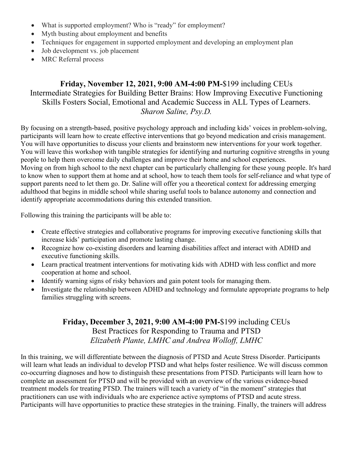- What is supported employment? Who is "ready" for employment?
- Myth busting about employment and benefits
- Techniques for engagement in supported employment and developing an employment plan
- Job development vs. job placement
- MRC Referral process

## **Friday, November 12, 2021, 9:00 AM-4:00 PM-**\$199 including CEUs Intermediate Strategies for Building Better Brains: How Improving Executive Functioning Skills Fosters Social, Emotional and Academic Success in ALL Types of Learners. *Sharon Saline, Psy.D.*

By focusing on a strength-based, positive psychology approach and including kids' voices in problem-solving, participants will learn how to create effective interventions that go beyond medication and crisis management. You will have opportunities to discuss your clients and brainstorm new interventions for your work together. You will leave this workshop with tangible strategies for identifying and nurturing cognitive strengths in young people to help them overcome daily challenges and improve their home and school experiences. Moving on from high school to the next chapter can be particularly challenging for these young people. It's hard to know when to support them at home and at school, how to teach them tools for self-reliance and what type of support parents need to let them go. Dr. Saline will offer you a theoretical context for addressing emerging adulthood that begins in middle school while sharing useful tools to balance autonomy and connection and identify appropriate accommodations during this extended transition.

Following this training the participants will be able to:

- Create effective strategies and collaborative programs for improving executive functioning skills that increase kids' participation and promote lasting change.
- Recognize how co-existing disorders and learning disabilities affect and interact with ADHD and executive functioning skills.
- Learn practical treatment interventions for motivating kids with ADHD with less conflict and more cooperation at home and school.
- Identify warning signs of risky behaviors and gain potent tools for managing them.
- Investigate the relationship between ADHD and technology and formulate appropriate programs to help families struggling with screens.

### **Friday, December 3, 2021, 9:00 AM-4:00 PM-**\$199 including CEUs Best Practices for Responding to Trauma and PTSD *Elizabeth Plante, LMHC and Andrea Wolloff, LMHC*

In this training, we will differentiate between the diagnosis of PTSD and Acute Stress Disorder. Participants will learn what leads an individual to develop PTSD and what helps foster resilience. We will discuss common co-occurring diagnoses and how to distinguish these presentations from PTSD. Participants will learn how to complete an assessment for PTSD and will be provided with an overview of the various evidence-based treatment models for treating PTSD. The trainers will teach a variety of "in the moment" strategies that practitioners can use with individuals who are experience active symptoms of PTSD and acute stress. Participants will have opportunities to practice these strategies in the training. Finally, the trainers will address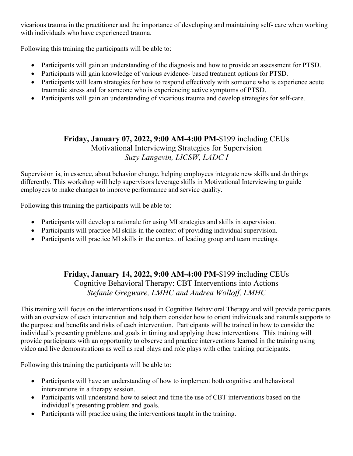vicarious trauma in the practitioner and the importance of developing and maintaining self- care when working with individuals who have experienced trauma.

Following this training the participants will be able to:

- Participants will gain an understanding of the diagnosis and how to provide an assessment for PTSD.
- Participants will gain knowledge of various evidence- based treatment options for PTSD.
- Participants will learn strategies for how to respond effectively with someone who is experience acute traumatic stress and for someone who is experiencing active symptoms of PTSD.
- Participants will gain an understanding of vicarious trauma and develop strategies for self-care.

## **Friday, January 07, 2022, 9:00 AM-4:00 PM-**\$199 including CEUs Motivational Interviewing Strategies for Supervision *Suzy Langevin, LICSW, LADC I*

Supervision is, in essence, about behavior change, helping employees integrate new skills and do things differently. This workshop will help supervisors leverage skills in Motivational Interviewing to guide employees to make changes to improve performance and service quality.

Following this training the participants will be able to:

- Participants will develop a rationale for using MI strategies and skills in supervision.
- Participants will practice MI skills in the context of providing individual supervision.
- Participants will practice MI skills in the context of leading group and team meetings.

## **Friday, January 14, 2022, 9:00 AM-4:00 PM-**\$199 including CEUs Cognitive Behavioral Therapy: CBT Interventions into Actions *Stefanie Gregware, LMHC and Andrea Wolloff, LMHC*

This training will focus on the interventions used in Cognitive Behavioral Therapy and will provide participants with an overview of each intervention and help them consider how to orient individuals and naturals supports to the purpose and benefits and risks of each intervention. Participants will be trained in how to consider the individual's presenting problems and goals in timing and applying these interventions. This training will provide participants with an opportunity to observe and practice interventions learned in the training using video and live demonstrations as well as real plays and role plays with other training participants.

Following this training the participants will be able to:

- Participants will have an understanding of how to implement both cognitive and behavioral interventions in a therapy session.
- Participants will understand how to select and time the use of CBT interventions based on the individual's presenting problem and goals.
- Participants will practice using the interventions taught in the training.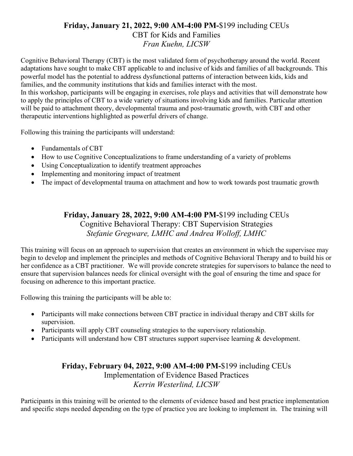#### **Friday, January 21, 2022, 9:00 AM-4:00 PM-**\$199 including CEUs

#### CBT for Kids and Families *Fran Kuehn, LICSW*

Cognitive Behavioral Therapy (CBT) is the most validated form of psychotherapy around the world. Recent adaptations have sought to make CBT applicable to and inclusive of kids and families of all backgrounds. This powerful model has the potential to address dysfunctional patterns of interaction between kids, kids and families, and the community institutions that kids and families interact with the most. In this workshop, participants will be engaging in exercises, role plays and activities that will demonstrate how to apply the principles of CBT to a wide variety of situations involving kids and families. Particular attention will be paid to attachment theory, developmental trauma and post-traumatic growth, with CBT and other therapeutic interventions highlighted as powerful drivers of change.

Following this training the participants will understand:

- Fundamentals of CBT
- How to use Cognitive Conceptualizations to frame understanding of a variety of problems
- Using Conceptualization to identify treatment approaches
- Implementing and monitoring impact of treatment
- The impact of developmental trauma on attachment and how to work towards post traumatic growth

#### **Friday, January 28, 2022, 9:00 AM-4:00 PM-**\$199 including CEUs Cognitive Behavioral Therapy: CBT Supervision Strategies *Stefanie Gregware, LMHC and Andrea Wolloff, LMHC*

This training will focus on an approach to supervision that creates an environment in which the supervisee may begin to develop and implement the principles and methods of Cognitive Behavioral Therapy and to build his or her confidence as a CBT practitioner. We will provide concrete strategies for supervisors to balance the need to ensure that supervision balances needs for clinical oversight with the goal of ensuring the time and space for focusing on adherence to this important practice.

Following this training the participants will be able to:

- Participants will make connections between CBT practice in individual therapy and CBT skills for supervision.
- Participants will apply CBT counseling strategies to the supervisory relationship.
- Participants will understand how CBT structures support supervisee learning & development.

#### **Friday, February 04, 2022, 9:00 AM-4:00 PM-**\$199 including CEUs Implementation of Evidence Based Practices *Kerrin Westerlind, LICSW*

Participants in this training will be oriented to the elements of evidence based and best practice implementation and specific steps needed depending on the type of practice you are looking to implement in. The training will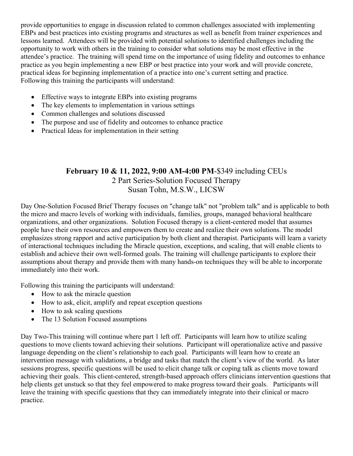provide opportunities to engage in discussion related to common challenges associated with implementing EBPs and best practices into existing programs and structures as well as benefit from trainer experiences and lessons learned. Attendees will be provided with potential solutions to identified challenges including the opportunity to work with others in the training to consider what solutions may be most effective in the attendee's practice. The training will spend time on the importance of using fidelity and outcomes to enhance practice as you begin implementing a new EBP or best practice into your work and will provide concrete, practical ideas for beginning implementation of a practice into one's current setting and practice. Following this training the participants will understand:

- Effective ways to integrate EBPs into existing programs
- The key elements to implementation in various settings
- Common challenges and solutions discussed
- The purpose and use of fidelity and outcomes to enhance practice
- Practical Ideas for implementation in their setting

#### **February 10 & 11, 2022, 9:00 AM-4:00 PM**-\$349 including CEUs 2 Part Series-Solution Focused Therapy Susan Tohn, M.S.W., LICSW

Day One-Solution Focused Brief Therapy focuses on "change talk" not "problem talk" and is applicable to both the micro and macro levels of working with individuals, families, groups, managed behavioral healthcare organizations, and other organizations. Solution Focused therapy is a client-centered model that assumes people have their own resources and empowers them to create and realize their own solutions. The model emphasizes strong rapport and active participation by both client and therapist. Participants will learn a variety of interactional techniques including the Miracle question, exceptions, and scaling, that will enable clients to establish and achieve their own well-formed goals. The training will challenge participants to explore their assumptions about therapy and provide them with many hands-on techniques they will be able to incorporate immediately into their work.

Following this training the participants will understand:

- How to ask the miracle question
- How to ask, elicit, amplify and repeat exception questions
- How to ask scaling questions
- The 13 Solution Focused assumptions

Day Two-This training will continue where part 1 left off. Participants will learn how to utilize scaling questions to move clients toward achieving their solutions. Participant will operationalize active and passive language depending on the client's relationship to each goal. Participants will learn how to create an intervention message with validations, a bridge and tasks that match the client's view of the world. As later sessions progress, specific questions will be used to elicit change talk or coping talk as clients move toward achieving their goals. This client-centered, strength-based approach offers clinicians intervention questions that help clients get unstuck so that they feel empowered to make progress toward their goals. Participants will leave the training with specific questions that they can immediately integrate into their clinical or macro practice.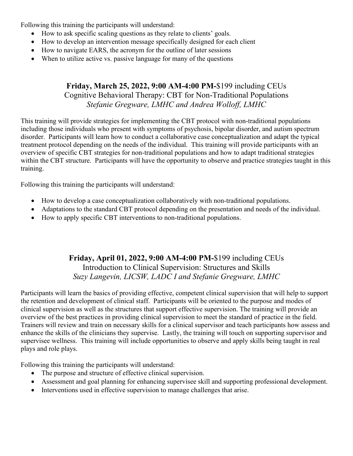Following this training the participants will understand:

- How to ask specific scaling questions as they relate to clients' goals.
- How to develop an intervention message specifically designed for each client
- How to navigate EARS, the acronym for the outline of later sessions
- When to utilize active vs. passive language for many of the questions

### **Friday, March 25, 2022, 9:00 AM-4:00 PM-**\$199 including CEUs Cognitive Behavioral Therapy: CBT for Non-Traditional Populations *Stefanie Gregware, LMHC and Andrea Wolloff, LMHC*

This training will provide strategies for implementing the CBT protocol with non-traditional populations including those individuals who present with symptoms of psychosis, bipolar disorder, and autism spectrum disorder. Participants will learn how to conduct a collaborative case conceptualization and adapt the typical treatment protocol depending on the needs of the individual. This training will provide participants with an overview of specific CBT strategies for non-traditional populations and how to adapt traditional strategies within the CBT structure. Participants will have the opportunity to observe and practice strategies taught in this training.

Following this training the participants will understand:

- How to develop a case conceptualization collaboratively with non-traditional populations.
- Adaptations to the standard CBT protocol depending on the presentation and needs of the individual.
- How to apply specific CBT interventions to non-traditional populations.

## **Friday, April 01, 2022, 9:00 AM-4:00 PM-**\$199 including CEUs Introduction to Clinical Supervision: Structures and Skills *Suzy Langevin, LICSW, LADC I and Stefanie Gregware, LMHC*

Participants will learn the basics of providing effective, competent clinical supervision that will help to support the retention and development of clinical staff. Participants will be oriented to the purpose and modes of clinical supervision as well as the structures that support effective supervision. The training will provide an overview of the best practices in providing clinical supervision to meet the standard of practice in the field. Trainers will review and train on necessary skills for a clinical supervisor and teach participants how assess and enhance the skills of the clinicians they supervise. Lastly, the training will touch on supporting supervisor and supervisee wellness. This training will include opportunities to observe and apply skills being taught in real plays and role plays.

Following this training the participants will understand:

- The purpose and structure of effective clinical supervision.
- Assessment and goal planning for enhancing supervisee skill and supporting professional development.
- Interventions used in effective supervision to manage challenges that arise.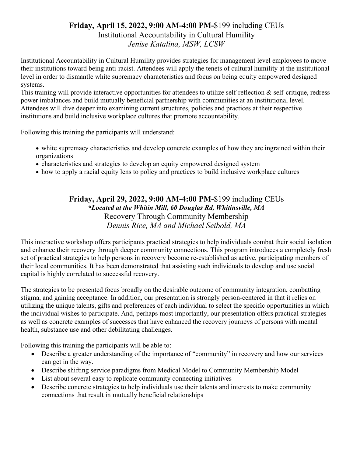#### **Friday, April 15, 2022, 9:00 AM-4:00 PM-**\$199 including CEUs

Institutional Accountability in Cultural Humility *Jenise Katalina, MSW, LCSW*

Institutional Accountability in Cultural Humility provides strategies for management level employees to move their institutions toward being anti-racist. Attendees will apply the tenets of cultural humility at the institutional level in order to dismantle white supremacy characteristics and focus on being equity empowered designed systems.

This training will provide interactive opportunities for attendees to utilize self-reflection & self-critique, redress power imbalances and build mutually beneficial partnership with communities at an institutional level. Attendees will dive deeper into examining current structures, policies and practices at their respective institutions and build inclusive workplace cultures that promote accountability.

Following this training the participants will understand:

- white supremacy characteristics and develop concrete examples of how they are ingrained within their organizations
- characteristics and strategies to develop an equity empowered designed system
- how to apply a racial equity lens to policy and practices to build inclusive workplace cultures

**Friday, April 29, 2022, 9:00 AM-4:00 PM-**\$199 including CEUs **\****Located at the Whitin Mill, 60 Douglas Rd, Whitinsville, MA* Recovery Through Community Membership *Dennis Rice, MA and Michael Seibold, MA*

This interactive workshop offers participants practical strategies to help individuals combat their social isolation and enhance their recovery through deeper community connections. This program introduces a completely fresh set of practical strategies to help persons in recovery become re-established as active, participating members of their local communities. It has been demonstrated that assisting such individuals to develop and use social capital is highly correlated to successful recovery.

The strategies to be presented focus broadly on the desirable outcome of community integration, combatting stigma, and gaining acceptance. In addition, our presentation is strongly person-centered in that it relies on utilizing the unique talents, gifts and preferences of each individual to select the specific opportunities in which the individual wishes to participate. And, perhaps most importantly, our presentation offers practical strategies as well as concrete examples of successes that have enhanced the recovery journeys of persons with mental health, substance use and other debilitating challenges.

Following this training the participants will be able to:

- Describe a greater understanding of the importance of "community" in recovery and how our services can get in the way.
- Describe shifting service paradigms from Medical Model to Community Membership Model
- List about several easy to replicate community connecting initiatives
- Describe concrete strategies to help individuals use their talents and interests to make community connections that result in mutually beneficial relationships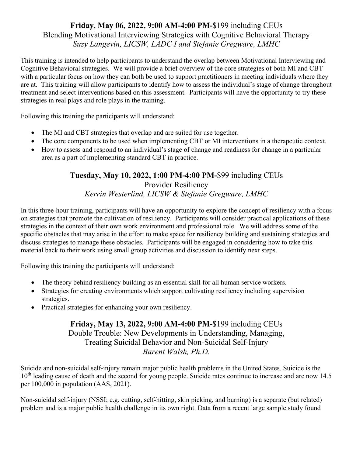## **Friday, May 06, 2022, 9:00 AM-4:00 PM-**\$199 including CEUs Blending Motivational Interviewing Strategies with Cognitive Behavioral Therapy *Suzy Langevin, LICSW, LADC I and Stefanie Gregware, LMHC*

This training is intended to help participants to understand the overlap between Motivational Interviewing and Cognitive Behavioral strategies. We will provide a brief overview of the core strategies of both MI and CBT with a particular focus on how they can both be used to support practitioners in meeting individuals where they are at. This training will allow participants to identify how to assess the individual's stage of change throughout treatment and select interventions based on this assessment. Participants will have the opportunity to try these strategies in real plays and role plays in the training.

Following this training the participants will understand:

- The MI and CBT strategies that overlap and are suited for use together.
- The core components to be used when implementing CBT or MI interventions in a therapeutic context.
- How to assess and respond to an individual's stage of change and readiness for change in a particular area as a part of implementing standard CBT in practice.

## **Tuesday, May 10, 2022, 1:00 PM-4:00 PM-**\$99 including CEUs

Provider Resiliency *Kerrin Westerlind, LICSW & Stefanie Gregware, LMHC*

In this three-hour training, participants will have an opportunity to explore the concept of resiliency with a focus on strategies that promote the cultivation of resiliency. Participants will consider practical applications of these strategies in the context of their own work environment and professional role. We will address some of the specific obstacles that may arise in the effort to make space for resiliency building and sustaining strategies and discuss strategies to manage these obstacles. Participants will be engaged in considering how to take this material back to their work using small group activities and discussion to identify next steps.

Following this training the participants will understand:

- The theory behind resiliency building as an essential skill for all human service workers.
- Strategies for creating environments which support cultivating resiliency including supervision strategies.
- Practical strategies for enhancing your own resiliency.

### **Friday, May 13, 2022, 9:00 AM-4:00 PM-**\$199 including CEUs Double Trouble: New Developments in Understanding, Managing, Treating Suicidal Behavior and Non-Suicidal Self-Injury *Barent Walsh, Ph.D.*

Suicide and non-suicidal self-injury remain major public health problems in the United States. Suicide is the  $10<sup>th</sup>$  leading cause of death and the second for young people. Suicide rates continue to increase and are now 14.5 per 100,000 in population (AAS, 2021).

Non-suicidal self-injury (NSSI; e.g. cutting, self-hitting, skin picking, and burning) is a separate (but related) problem and is a major public health challenge in its own right. Data from a recent large sample study found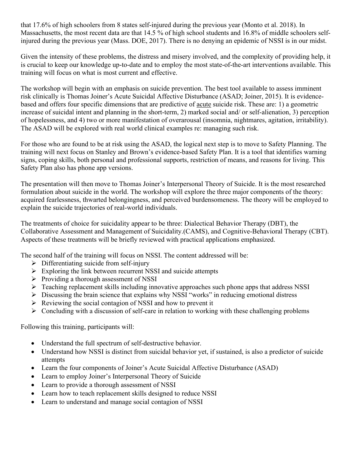that 17.6% of high schoolers from 8 states self-injured during the previous year (Monto et al. 2018). In Massachusetts, the most recent data are that 14.5 % of high school students and 16.8% of middle schoolers selfinjured during the previous year (Mass. DOE, 2017). There is no denying an epidemic of NSSI is in our midst.

Given the intensity of these problems, the distress and misery involved, and the complexity of providing help, it is crucial to keep our knowledge up-to-date and to employ the most state-of-the-art interventions available. This training will focus on what is most current and effective.

The workshop will begin with an emphasis on suicide prevention. The best tool available to assess imminent risk clinically is Thomas Joiner's Acute Suicidal Affective Disturbance (ASAD; Joiner, 2015). It is evidencebased and offers four specific dimensions that are predictive of acute suicide risk. These are: 1) a geometric increase of suicidal intent and planning in the short-term, 2) marked social and/ or self-alienation, 3) perception of hopelessness, and 4) two or more manifestation of overarousal (insomnia, nightmares, agitation, irritability). The ASAD will be explored with real world clinical examples re: managing such risk.

For those who are found to be at risk using the ASAD, the logical next step is to move to Safety Planning. The training will next focus on Stanley and Brown's evidence-based Safety Plan. It is a tool that identifies warning signs, coping skills, both personal and professional supports, restriction of means, and reasons for living. This Safety Plan also has phone app versions.

The presentation will then move to Thomas Joiner's Interpersonal Theory of Suicide. It is the most researched formulation about suicide in the world. The workshop will explore the three major components of the theory: acquired fearlessness, thwarted belongingness, and perceived burdensomeness. The theory will be employed to explain the suicide trajectories of real-world individuals.

The treatments of choice for suicidality appear to be three: Dialectical Behavior Therapy (DBT), the Collaborative Assessment and Management of Suicidality.(CAMS), and Cognitive-Behavioral Therapy (CBT). Aspects of these treatments will be briefly reviewed with practical applications emphasized.

The second half of the training will focus on NSSI. The content addressed will be:

- $\triangleright$  Differentiating suicide from self-injury
- $\triangleright$  Exploring the link between recurrent NSSI and suicide attempts
- $\triangleright$  Providing a thorough assessment of NSSI
- $\triangleright$  Teaching replacement skills including innovative approaches such phone apps that address NSSI
- $\triangleright$  Discussing the brain science that explains why NSSI "works" in reducing emotional distress
- $\triangleright$  Reviewing the social contagion of NSSI and how to prevent it
- $\triangleright$  Concluding with a discussion of self-care in relation to working with these challenging problems

Following this training, participants will:

- Understand the full spectrum of self-destructive behavior.
- Understand how NSSI is distinct from suicidal behavior yet, if sustained, is also a predictor of suicide attempts
- Learn the four components of Joiner's Acute Suicidal Affective Disturbance (ASAD)
- Learn to employ Joiner's Interpersonal Theory of Suicide
- Learn to provide a thorough assessment of NSSI
- Learn how to teach replacement skills designed to reduce NSSI
- Learn to understand and manage social contagion of NSSI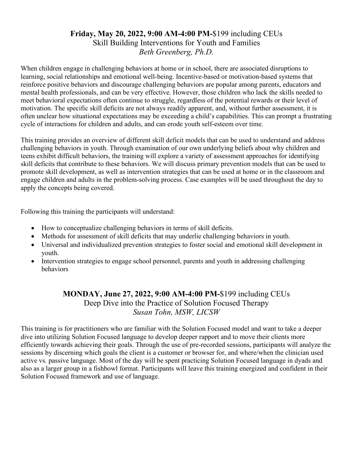#### **Friday, May 20, 2022, 9:00 AM-4:00 PM-**\$199 including CEUs Skill Building Interventions for Youth and Families *Beth Greenberg, Ph.D.*

When children engage in challenging behaviors at home or in school, there are associated disruptions to learning, social relationships and emotional well-being. Incentive-based or motivation-based systems that reinforce positive behaviors and discourage challenging behaviors are popular among parents, educators and mental health professionals, and can be very effective. However, those children who lack the skills needed to meet behavioral expectations often continue to struggle, regardless of the potential rewards or their level of motivation. The specific skill deficits are not always readily apparent, and, without further assessment, it is often unclear how situational expectations may be exceeding a child's capabilities. This can prompt a frustrating cycle of interactions for children and adults, and can erode youth self-esteem over time.

This training provides an overview of different skill deficit models that can be used to understand and address challenging behaviors in youth. Through examination of our own underlying beliefs about why children and teens exhibit difficult behaviors, the training will explore a variety of assessment approaches for identifying skill deficits that contribute to these behaviors. We will discuss primary prevention models that can be used to promote skill development, as well as intervention strategies that can be used at home or in the classroom and engage children and adults in the problem-solving process. Case examples will be used throughout the day to apply the concepts being covered.

Following this training the participants will understand:

- How to conceptualize challenging behaviors in terms of skill deficits.
- Methods for assessment of skill deficits that may underlie challenging behaviors in youth.
- Universal and individualized prevention strategies to foster social and emotional skill development in youth.
- Intervention strategies to engage school personnel, parents and youth in addressing challenging behaviors

### **MONDAY, June 27, 2022, 9:00 AM-4:00 PM-**\$199 including CEUs Deep Dive into the Practice of Solution Focused Therapy *Susan Tohn, MSW, LICSW*

This training is for practitioners who are familiar with the Solution Focused model and want to take a deeper dive into utilizing Solution Focused language to develop deeper rapport and to move their clients more efficiently towards achieving their goals. Through the use of pre-recorded sessions, participants will analyze the sessions by discerning which goals the client is a customer or browser for, and where/when the clinician used active vs. passive language. Most of the day will be spent practicing Solution Focused language in dyads and also as a larger group in a fishbowl format. Participants will leave this training energized and confident in their Solution Focused framework and use of language.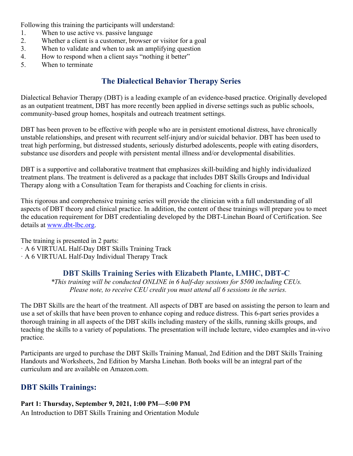Following this training the participants will understand:

- 1. When to use active vs. passive language
- 2. Whether a client is a customer, browser or visitor for a goal
- 3. When to validate and when to ask an amplifying question
- 4. How to respond when a client says "nothing it better"
- 5. When to terminate

## **The Dialectical Behavior Therapy Series**

Dialectical Behavior Therapy (DBT) is a leading example of an evidence-based practice. Originally developed as an outpatient treatment, DBT has more recently been applied in diverse settings such as public schools, community-based group homes, hospitals and outreach treatment settings.

DBT has been proven to be effective with people who are in persistent emotional distress, have chronically unstable relationships, and present with recurrent self-injury and/or suicidal behavior. DBT has been used to treat high performing, but distressed students, seriously disturbed adolescents, people with eating disorders, substance use disorders and people with persistent mental illness and/or developmental disabilities.

DBT is a supportive and collaborative treatment that emphasizes skill-building and highly individualized treatment plans. The treatment is delivered as a package that includes DBT Skills Groups and Individual Therapy along with a Consultation Team for therapists and Coaching for clients in crisis.

This rigorous and comprehensive training series will provide the clinician with a full understanding of all aspects of DBT theory and clinical practice. In addition, the content of these trainings will prepare you to meet the education requirement for DBT credentialing developed by the DBT-Linehan Board of Certification. See details at [www.dbt-lbc.org.](http://www.dbt-lbc.org/)

The training is presented in 2 parts: · A 6 VIRTUAL Half-Day DBT Skills Training Track · A 6 VIRTUAL Half-Day Individual Therapy Track

#### **DBT Skills Training Series with Elizabeth Plante, LMHC, DBT-C**

*\*This training will be conducted ONLINE in 6 half-day sessions for \$500 including CEUs. Please note, to receive CEU credit you must attend all 6 sessions in the series.*

The DBT Skills are the heart of the treatment. All aspects of DBT are based on assisting the person to learn and use a set of skills that have been proven to enhance coping and reduce distress. This 6-part series provides a thorough training in all aspects of the DBT skills including mastery of the skills, running skills groups, and teaching the skills to a variety of populations. The presentation will include lecture, video examples and in-vivo practice.

Participants are urged to purchase the DBT Skills Training Manual, 2nd Edition and the DBT Skills Training Handouts and Worksheets, 2nd Edition by Marsha Linehan. Both books will be an integral part of the curriculum and are available on Amazon.com.

## **DBT Skills Trainings:**

#### **Part 1: Thursday, September 9, 2021, 1:00 PM—5:00 PM**

An Introduction to DBT Skills Training and Orientation Module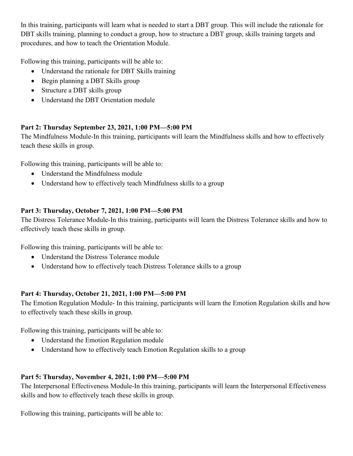In this training, participants will learn what is needed to start a DBT group. This will include the rationale for DBT skills training, planning to conduct a group, how to structure a DBT group, skills training targets and procedures, and how to teach the Orientation Module.

Following this training, participants will be able to:

- Understand the rationale for DBT Skills training
- Begin planning a DBT Skills group
- Structure a DBT skills group
- Understand the DBT Orientation module

#### **Part 2: Thursday September 23, 2021, 1:00 PM—5:00 PM**

The Mindfulness Module-In this training, participants will learn the Mindfulness skills and how to effectively teach these skills in group.

Following this training, participants will be able to:

- Understand the Mindfulness module
- Understand how to effectively teach Mindfulness skills to a group

#### **Part 3: Thursday, October 7, 2021, 1:00 PM—5:00 PM**

The Distress Tolerance Module-In this training, participants will learn the Distress Tolerance skills and how to effectively teach these skills in group.

Following this training, participants will be able to:

- Understand the Distress Tolerance module
- Understand how to effectively teach Distress Tolerance skills to a group

#### **Part 4: Thursday, October 21, 2021, 1:00 PM—5:00 PM**

The Emotion Regulation Module- In this training, participants will learn the Emotion Regulation skills and how to effectively teach these skills in group.

Following this training, participants will be able to:

- Understand the Emotion Regulation module
- Understand how to effectively teach Emotion Regulation skills to a group

#### **Part 5: Thursday, November 4, 2021, 1:00 PM—5:00 PM**

The Interpersonal Effectiveness Module-In this training, participants will learn the Interpersonal Effectiveness skills and how to effectively teach these skills in group.

Following this training, participants will be able to: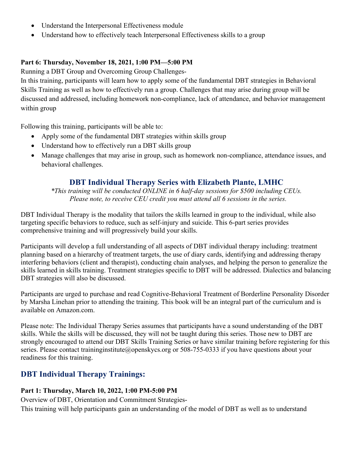- Understand the Interpersonal Effectiveness module
- Understand how to effectively teach Interpersonal Effectiveness skills to a group

#### **Part 6: Thursday, November 18, 2021, 1:00 PM—5:00 PM**

Running a DBT Group and Overcoming Group Challenges-

In this training, participants will learn how to apply some of the fundamental DBT strategies in Behavioral Skills Training as well as how to effectively run a group. Challenges that may arise during group will be discussed and addressed, including homework non-compliance, lack of attendance, and behavior management within group

Following this training, participants will be able to:

- Apply some of the fundamental DBT strategies within skills group
- Understand how to effectively run a DBT skills group
- Manage challenges that may arise in group, such as homework non-compliance, attendance issues, and behavioral challenges.

#### **DBT Individual Therapy Series with Elizabeth Plante, LMHC**

*\*This training will be conducted ONLINE in 6 half-day sessions for \$500 including CEUs. Please note, to receive CEU credit you must attend all 6 sessions in the series.*

DBT Individual Therapy is the modality that tailors the skills learned in group to the individual, while also targeting specific behaviors to reduce, such as self-injury and suicide. This 6-part series provides comprehensive training and will progressively build your skills.

Participants will develop a full understanding of all aspects of DBT individual therapy including: treatment planning based on a hierarchy of treatment targets, the use of diary cards, identifying and addressing therapy interfering behaviors (client and therapist), conducting chain analyses, and helping the person to generalize the skills learned in skills training. Treatment strategies specific to DBT will be addressed. Dialectics and balancing DBT strategies will also be discussed.

Participants are urged to purchase and read Cognitive-Behavioral Treatment of Borderline Personality Disorder by Marsha Linehan prior to attending the training. This book will be an integral part of the curriculum and is available on Amazon.com.

Please note: The Individual Therapy Series assumes that participants have a sound understanding of the DBT skills. While the skills will be discussed, they will not be taught during this series. Those new to DBT are strongly encouraged to attend our DBT Skills Training Series or have similar training before registering for this series. Please contact traininginstitute@openskycs.org or 508-755-0333 if you have questions about your readiness for this training.

## **DBT Individual Therapy Trainings:**

#### **Part 1: Thursday, March 10, 2022, 1:00 PM-5:00 PM**

Overview of DBT, Orientation and Commitment Strategies-

This training will help participants gain an understanding of the model of DBT as well as to understand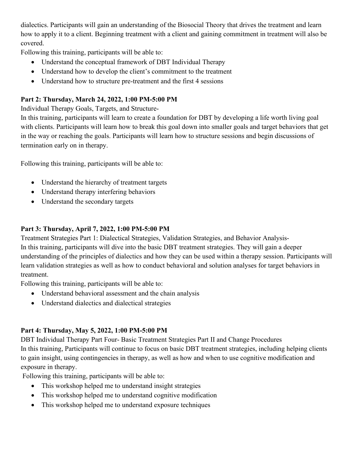dialectics. Participants will gain an understanding of the Biosocial Theory that drives the treatment and learn how to apply it to a client. Beginning treatment with a client and gaining commitment in treatment will also be covered.

Following this training, participants will be able to:

- Understand the conceptual framework of DBT Individual Therapy
- Understand how to develop the client's commitment to the treatment
- Understand how to structure pre-treatment and the first 4 sessions

#### **Part 2: Thursday, March 24, 2022, 1:00 PM-5:00 PM**

Individual Therapy Goals, Targets, and Structure-

In this training, participants will learn to create a foundation for DBT by developing a life worth living goal with clients. Participants will learn how to break this goal down into smaller goals and target behaviors that get in the way or reaching the goals. Participants will learn how to structure sessions and begin discussions of termination early on in therapy.

Following this training, participants will be able to:

- Understand the hierarchy of treatment targets
- Understand therapy interfering behaviors
- Understand the secondary targets

#### **Part 3: Thursday, April 7, 2022, 1:00 PM-5:00 PM**

Treatment Strategies Part 1: Dialectical Strategies, Validation Strategies, and Behavior Analysis-In this training, participants will dive into the basic DBT treatment strategies. They will gain a deeper understanding of the principles of dialectics and how they can be used within a therapy session. Participants will learn validation strategies as well as how to conduct behavioral and solution analyses for target behaviors in treatment.

Following this training, participants will be able to:

- Understand behavioral assessment and the chain analysis
- Understand dialectics and dialectical strategies

#### **Part 4: Thursday, May 5, 2022, 1:00 PM-5:00 PM**

DBT Individual Therapy Part Four- Basic Treatment Strategies Part II and Change Procedures In this training, Participants will continue to focus on basic DBT treatment strategies, including helping clients to gain insight, using contingencies in therapy, as well as how and when to use cognitive modification and exposure in therapy.

Following this training, participants will be able to:

- This workshop helped me to understand insight strategies
- This workshop helped me to understand cognitive modification
- This workshop helped me to understand exposure techniques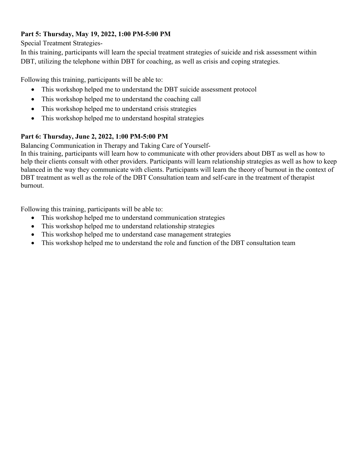#### **Part 5: Thursday, May 19, 2022, 1:00 PM-5:00 PM**

Special Treatment Strategies-

In this training, participants will learn the special treatment strategies of suicide and risk assessment within DBT, utilizing the telephone within DBT for coaching, as well as crisis and coping strategies.

Following this training, participants will be able to:

- This workshop helped me to understand the DBT suicide assessment protocol
- This workshop helped me to understand the coaching call
- This workshop helped me to understand crisis strategies
- This workshop helped me to understand hospital strategies

#### **Part 6: Thursday, June 2, 2022, 1:00 PM-5:00 PM**

Balancing Communication in Therapy and Taking Care of Yourself-

In this training, participants will learn how to communicate with other providers about DBT as well as how to help their clients consult with other providers. Participants will learn relationship strategies as well as how to keep balanced in the way they communicate with clients. Participants will learn the theory of burnout in the context of DBT treatment as well as the role of the DBT Consultation team and self-care in the treatment of therapist burnout.

Following this training, participants will be able to:

- This workshop helped me to understand communication strategies
- This workshop helped me to understand relationship strategies
- This workshop helped me to understand case management strategies
- This workshop helped me to understand the role and function of the DBT consultation team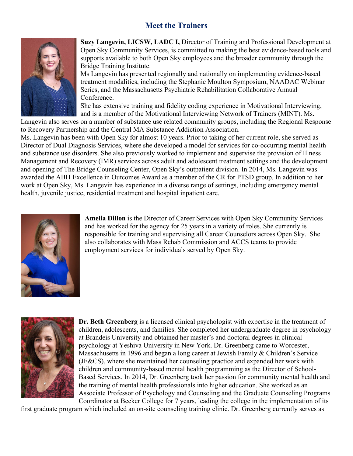## **Meet the Trainers**



**Suzy Langevin, LICSW, LADC I,** Director of Training and Professional Development at Open Sky Community Services, is committed to making the best evidence-based tools and supports available to both Open Sky employees and the broader community through the Bridge Training Institute.

Ms Langevin has presented regionally and nationally on implementing evidence-based treatment modalities, including the Stephanie Moulton Symposium, NAADAC Webinar Series, and the Massachusetts Psychiatric Rehabilitation Collaborative Annual Conference.

She has extensive training and fidelity coding experience in Motivational Interviewing, and is a member of the Motivational Interviewing Network of Trainers (MINT). Ms.

Langevin also serves on a number of substance use related community groups, including the Regional Response to Recovery Partnership and the Central MA Substance Addiction Association.

Ms. Langevin has been with Open Sky for almost 10 years. Prior to taking of her current role, she served as Director of Dual Diagnosis Services, where she developed a model for services for co-occurring mental health and substance use disorders. She also previously worked to implement and supervise the provision of Illness Management and Recovery (IMR) services across adult and adolescent treatment settings and the development and opening of The Bridge Counseling Center, Open Sky's outpatient division. In 2014, Ms. Langevin was awarded the ABH Excellence in Outcomes Award as a member of the CR for PTSD group. In addition to her work at Open Sky, Ms. Langevin has experience in a diverse range of settings, including emergency mental health, juvenile justice, residential treatment and hospital inpatient care.



**Amelia Dillon** is the Director of Career Services with Open Sky Community Services and has worked for the agency for 25 years in a variety of roles. She currently is responsible for training and supervising all Career Counselors across Open Sky. She also collaborates with Mass Rehab Commission and ACCS teams to provide employment services for individuals served by Open Sky.



**Dr. Beth Greenberg** is a licensed clinical psychologist with expertise in the treatment of children, adolescents, and families. She completed her undergraduate degree in psychology at Brandeis University and obtained her master's and doctoral degrees in clinical psychology at Yeshiva University in New York. Dr. Greenberg came to Worcester, Massachusetts in 1996 and began a long career at Jewish Family & Children's Service (JF&CS), where she maintained her counseling practice and expanded her work with children and community-based mental health programming as the Director of School-Based Services. In 2014, Dr. Greenberg took her passion for community mental health and the training of mental health professionals into higher education. She worked as an Associate Professor of Psychology and Counseling and the Graduate Counseling Programs Coordinator at Becker College for 7 years, leading the college in the implementation of its

first graduate program which included an on-site counseling training clinic. Dr. Greenberg currently serves as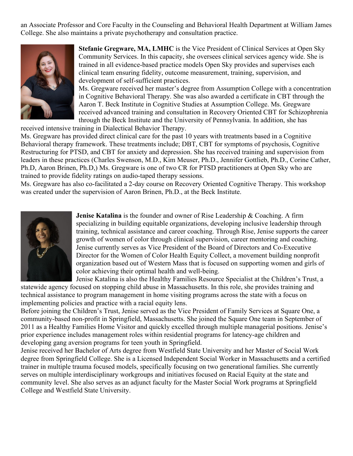an Associate Professor and Core Faculty in the Counseling and Behavioral Health Department at William James College. She also maintains a private psychotherapy and consultation practice.



**Stefanie Gregware, MA, LMHC** is the Vice President of Clinical Services at Open Sky Community Services. In this capacity, she oversees clinical services agency wide. She is trained in all evidence-based practice models Open Sky provides and supervises each clinical team ensuring fidelity, outcome measurement, training, supervision, and development of self-sufficient practices.

Ms. Gregware received her master's degree from Assumption College with a concentration in Cognitive Behavioral Therapy. She was also awarded a certificate in CBT through the Aaron T. Beck Institute in Cognitive Studies at Assumption College. Ms. Gregware received advanced training and consultation in Recovery Oriented CBT for Schizophrenia through the Beck Institute and the University of Pennsylvania. In addition, she has

received intensive training in Dialectical Behavior Therapy.

Ms. Gregware has provided direct clinical care for the past 10 years with treatments based in a Cognitive Behavioral therapy framework. These treatments include; DBT, CBT for symptoms of psychosis, Cognitive Restructuring for PTSD, and CBT for anxiety and depression. She has received training and supervision from leaders in these practices (Charles Swenson, M.D., Kim Meuser, Ph.D., Jennifer Gottlieb, Ph.D., Corine Cather, Ph.D, Aaron Brinen, Ph.D,) Ms. Gregware is one of two CR for PTSD practitioners at Open Sky who are trained to provide fidelity ratings on audio-taped therapy sessions.

Ms. Gregware has also co-facilitated a 2-day course on Recovery Oriented Cognitive Therapy. This workshop was created under the supervision of Aaron Brinen, Ph.D., at the Beck Institute.



**Jenise Katalina** is the founder and owner of Rise Leadership & Coaching. A firm specializing in building equitable organizations, developing inclusive leadership through training, technical assistance and career coaching. Through Rise, Jenise supports the career growth of women of color through clinical supervision, career mentoring and coaching. Jenise currently serves as Vice President of the Board of Directors and Co-Executive Director for the Women of Color Health Equity Collect, a movement building nonprofit organization based out of Western Mass that is focused on supporting women and girls of color achieving their optimal health and well-being.

Jenise Katalina is also the Healthy Families Resource Specialist at the Children's Trust, a statewide agency focused on stopping child abuse in Massachusetts. In this role, she provides training and technical assistance to program management in home visiting programs across the state with a focus on implementing policies and practice with a racial equity lens.

Before joining the Children's Trust, Jenise served as the Vice President of Family Services at Square One, a community-based non-profit in Springfield, Massachusetts. She joined the Square One team in September of 2011 as a Healthy Families Home Visitor and quickly excelled through multiple managerial positions. Jenise's prior experience includes management roles within residential programs for latency-age children and developing gang aversion programs for teen youth in Springfield.

Jenise received her Bachelor of Arts degree from Westfield State University and her Master of Social Work degree from Springfield College. She is a Licensed Independent Social Worker in Massachusetts and a certified trainer in multiple trauma focused models, specifically focusing on two generational families. She currently serves on multiple interdisciplinary workgroups and initiatives focused on Racial Equity at the state and community level. She also serves as an adjunct faculty for the Master Social Work programs at Springfield College and Westfield State University.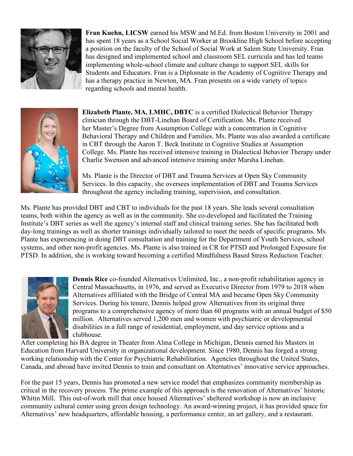

**Fran Kuehn, LICSW** earned his MSW and M.Ed. from Boston University in 2001 and has spent 18 years as a School Social Worker at Brookline High School before accepting a position on the faculty of the School of Social Work at Salem State University. Fran has designed and implemented school and classroom SEL curricula and has led teams implementing whole-school climate and culture change to support SEL skills for Students and Educators. Fran is a Diplomate in the Academy of Cognitive Therapy and has a therapy practice in Newton, MA. Fran presents on a wide variety of topics regarding schools and mental health.



**Elizabeth Plante, MA, LMHC, DBTC** is a certified Dialectical Behavior Therapy clinician through the DBT-Linehan Board of Certification. Ms. Plante received her Master's Degree from Assumption College with a concentration in Cognitive Behavioral Therapy and Children and Families. Ms. Plante was also awarded a certificate in CBT through the Aaron T. Beck Institute in Cognitive Studies at Assumption College. Ms. Plante has received intensive training in Dialectical Behavior Therapy under Charlie Swenson and advanced intensive training under Marsha Linehan.

Ms. Plante is the Director of DBT and Trauma Services at Open Sky Community Services. In this capacity, she oversees implementation of DBT and Trauma Services throughout the agency including training, supervision, and consultation.

Ms. Plante has provided DBT and CBT to individuals for the past 18 years. She leads several consultation teams, both within the agency as well as in the community. She co-developed and facilitated the Training Institute's DBT series as well the agency's internal staff and clinical training series. She has facilitated both day-long trainings as well as shorter trainings individually tailored to meet the needs of specific programs. Ms. Plante has experiencing in doing DBT consultation and training for the Department of Youth Services, school systems, and other non-profit agencies. Ms. Plante is also trained in CR for PTSD and Prolonged Exposure for PTSD. In addition, she is working toward becoming a certified Mindfulness Based Stress Reduction Teacher.



**Dennis Rice** co-founded Alternatives Unlimited, Inc., a non-profit rehabilitation agency in Central Massachusetts, in 1976, and served as Executive Director from 1979 to 2018 when Alternatives affiliated with the Bridge of Central MA and became Open Sky Community Services. During his tenure, Dennis helped grow Alternatives from its original three programs to a comprehensive agency of more than 60 programs with an annual budget of \$50 million. Alternatives served 1,200 men and women with psychiatric or developmental disabilities in a full range of residential, employment, and day service options and a clubhouse.

After completing his BA degree in Theater from Alma College in Michigan, Dennis earned his Masters in Education from Harvard University in organizational development. Since 1980, Dennis has forged a strong working relationship with the Center for Psychiatric Rehabilitation. Agencies throughout the United States, Canada, and abroad have invited Dennis to train and consultant on Alternatives' innovative service approaches.

For the past 15 years, Dennis has promoted a new service model that emphasizes community membership as critical in the recovery process. The prime example of this approach is the renovation of Alternatives' historic Whitin Mill. This out-of-work mill that once housed Alternatives' sheltered workshop is now an inclusive community cultural center using green design technology. An award-winning project, it has provided space for Alternatives' new headquarters, affordable housing, a performance center, an art gallery, and a restaurant.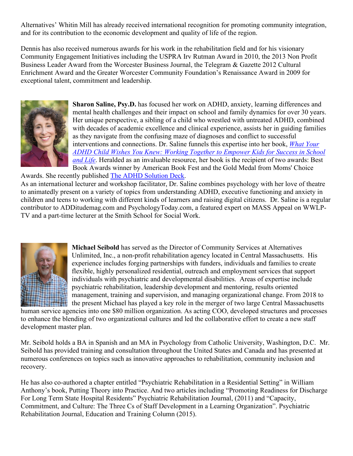Alternatives' Whitin Mill has already received international recognition for promoting community integration, and for its contribution to the economic development and quality of life of the region.

Dennis has also received numerous awards for his work in the rehabilitation field and for his visionary Community Engagement Initiatives including the USPRA Irv Rutman Award in 2010, the 2013 Non Profit Business Leader Award from the Worcester Business Journal, the Telegram & Gazette 2012 Cultural Enrichment Award and the Greater Worcester Community Foundation's Renaissance Award in 2009 for exceptional talent, commitment and leadership.



**Sharon Saline, Psy.D.** has focused her work on ADHD, anxiety, learning differences and mental health challenges and their impact on school and family dynamics for over 30 years. Her unique perspective, a sibling of a child who wrestled with untreated ADHD, combined with decades of academic excellence and clinical experience, assists her in guiding families as they navigate from the confusing maze of diagnoses and conflict to successful interventions and connections. Dr. Saline funnels this expertise into her book, *[What Your](http://drsharonsaline.com/dr-salines-latest-book/)  [ADHD Child Wishes You Knew: Working Together to Empower Kids for Success in School](http://drsharonsaline.com/dr-salines-latest-book/)  [and Life](http://drsharonsaline.com/dr-salines-latest-book/)*. Heralded as an invaluable resource, her book is the recipient of two awards: Best Book Awards winner by American Book Fest and the Gold Medal from Moms' Choice

Awards. She recently published [The ADHD Solution Deck.](https://www.amazon.com/ADHD-Solution-Deck-Strategies-Connections/dp/1683732936/ref=sr_1_1?crid=1NXSWJ6I0VFNQ&dchild=1&keywords=adhd+solution+deck&qid=1586798104&sprefix=adhd+solution%2Caps%2C159&sr=8-1) As an international lecturer and workshop facilitator, Dr. Saline combines psychology with her love of theatre to animatedly present on a variety of topics from understanding ADHD, executive functioning and anxiety in children and teens to working with different kinds of learners and raising digital citizens. Dr. Saline is a regular contributor to ADDitudemag.com and PsychologyToday.com, a featured expert on MASS Appeal on WWLP-TV and a part-time lecturer at the Smith School for Social Work.



**Michael Seibold** has served as the Director of Community Services at Alternatives Unlimited, Inc., a non-profit rehabilitation agency located in Central Massachusetts. His experience includes forging partnerships with funders, individuals and families to create flexible, highly personalized residential, outreach and employment services that support individuals with psychiatric and developmental disabilities. Areas of expertise include psychiatric rehabilitation, leadership development and mentoring, results oriented management, training and supervision, and managing organizational change. From 2018 to the present Michael has played a key role in the merger of two large Central Massachusetts

human service agencies into one \$80 million organization. As acting COO, developed structures and processes to enhance the blending of two organizational cultures and led the collaborative effort to create a new staff development master plan.

Mr. Seibold holds a BA in Spanish and an MA in Psychology from Catholic University, Washington, D.C. Mr. Seibold has provided training and consultation throughout the United States and Canada and has presented at numerous conferences on topics such as innovative approaches to rehabilitation, community inclusion and recovery.

He has also co-authored a chapter entitled "Psychiatric Rehabilitation in a Residential Setting" in William Anthony's book, Putting Theory into Practice. And two articles including "Promoting Readiness for Discharge For Long Term State Hospital Residents" Psychiatric Rehabilitation Journal, (2011) and "Capacity, Commitment, and Culture: The Three Cs of Staff Development in a Learning Organization". Psychiatric Rehabilitation Journal, Education and Training Column (2015).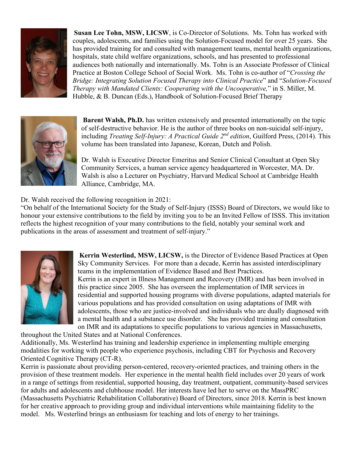

**Susan Lee Tohn, MSW, LICSW**, is Co-Director of Solutions. Ms. Tohn has worked with couples, adolescents, and families using the Solution-Focused model for over 25 years. She has provided training for and consulted with management teams, mental health organizations, hospitals, state child welfare organizations, schools, and has presented to professional audiences both nationally and internationally. Ms. Tohn is an Associate Professor of Clinical Practice at Boston College School of Social Work. Ms. Tohn is co-author of "*Crossing the Bridge: Integrating Solution Focused Therapy into Clinical Practice*" and "*Solution-Focused Therapy with Mandated Clients: Cooperating with the Uncooperative,*" in S. Miller, M. Hubble, & B. Duncan (Eds.), Handbook of Solution-Focused Brief Therapy



**Barent Walsh, Ph.D.** has written extensively and presented internationally on the topic of self-destructive behavior. He is the author of three books on non-suicidal self-injury, including *Treating Self-Injury: A Practical Guide 2nd edition*, Guilford Press, (2014). This volume has been translated into Japanese, Korean, Dutch and Polish.

Dr. Walsh is Executive Director Emeritus and Senior Clinical Consultant at Open Sky Community Services, a human service agency headquartered in Worcester, MA. Dr. Walsh is also a Lecturer on Psychiatry, Harvard Medical School at Cambridge Health Alliance, Cambridge, MA.

#### Dr. Walsh received the following recognition in 2021:

"On behalf of the International Society for the Study of Self-Injury (ISSS) Board of Directors, we would like to honour your extensive contributions to the field by inviting you to be an Invited Fellow of ISSS. This invitation reflects the highest recognition of your many contributions to the field, notably your seminal work and publications in the areas of assessment and treatment of self-injury."



**Kerrin Westerlind, MSW, LICSW,** is the Director of Evidence Based Practices at Open Sky Community Services. For more than a decade, Kerrin has assisted interdisciplinary teams in the implementation of Evidence Based and Best Practices. Kerrin is an expert in Illness Management and Recovery (IMR) and has been involved in this practice since 2005. She has overseen the implementation of IMR services in residential and supported housing programs with diverse populations, adapted materials for various populations and has provided consultation on using adaptations of IMR with adolescents, those who are justice-involved and individuals who are dually diagnosed with a mental health and a substance use disorder. She has provided training and consultation on IMR and its adaptations to specific populations to various agencies in Massachusetts,

throughout the United States and at National Conferences.

Additionally, Ms. Westerlind has training and leadership experience in implementing multiple emerging modalities for working with people who experience psychosis, including CBT for Psychosis and Recovery Oriented Cognitive Therapy (CT-R).

Kerrin is passionate about providing person-centered, recovery-oriented practices, and training others in the provision of these treatment models. Her experience in the mental health field includes over 20 years of work in a range of settings from residential, supported housing, day treatment, outpatient, community-based services for adults and adolescents and clubhouse model. Her interests have led her to serve on the MassPRC (Massachusetts Psychiatric Rehabilitation Collaborative) Board of Directors, since 2018. Kerrin is best known for her creative approach to providing group and individual interventions while maintaining fidelity to the model. Ms. Westerlind brings an enthusiasm for teaching and lots of energy to her trainings.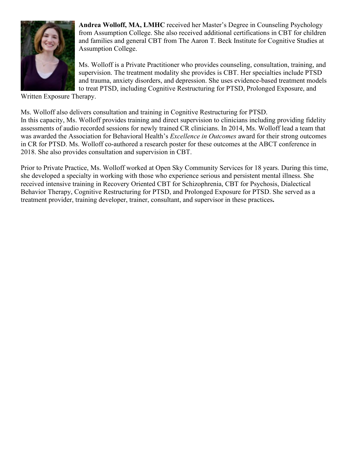

**Andrea Wolloff, MA, LMHC** received her Master's Degree in Counseling Psychology from Assumption College. She also received additional certifications in CBT for children and families and general CBT from The Aaron T. Beck Institute for Cognitive Studies at Assumption College.

Ms. Wolloff is a Private Practitioner who provides counseling, consultation, training, and supervision. The treatment modality she provides is CBT. Her specialties include PTSD and trauma, anxiety disorders, and depression. She uses evidence-based treatment models to treat PTSD, including Cognitive Restructuring for PTSD, Prolonged Exposure, and

Written Exposure Therapy.

Ms. Wolloff also delivers consultation and training in Cognitive Restructuring for PTSD. In this capacity, Ms. Wolloff provides training and direct supervision to clinicians including providing fidelity assessments of audio recorded sessions for newly trained CR clinicians. In 2014, Ms. Wolloff lead a team that was awarded the Association for Behavioral Health's *Excellence in Outcomes* award for their strong outcomes in CR for PTSD. Ms. Wolloff co-authored a research poster for these outcomes at the ABCT conference in 2018. She also provides consultation and supervision in CBT.

Prior to Private Practice, Ms. Wolloff worked at Open Sky Community Services for 18 years. During this time, she developed a specialty in working with those who experience serious and persistent mental illness. She received intensive training in Recovery Oriented CBT for Schizophrenia, CBT for Psychosis, Dialectical Behavior Therapy, Cognitive Restructuring for PTSD, and Prolonged Exposure for PTSD. She served as a treatment provider, training developer, trainer, consultant, and supervisor in these practices**.**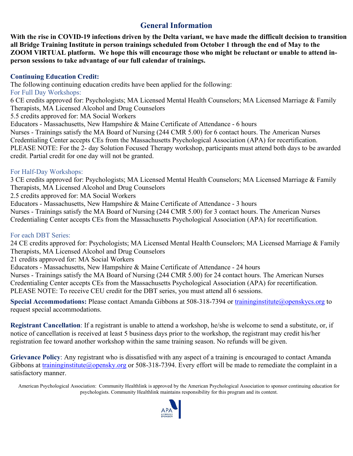#### **General Information**

**With the rise in COVID-19 infections driven by the Delta variant, we have made the difficult decision to transition all Bridge Training Institute in person trainings scheduled from October 1 through the end of May to the ZOOM VIRTUAL platform. We hope this will encourage those who might be reluctant or unable to attend inperson sessions to take advantage of our full calendar of trainings.**

#### **Continuing Education Credit:**

The following continuing education credits have been applied for the following: For Full Day Workshops: 6 CE credits approved for: Psychologists; MA Licensed Mental Health Counselors; MA Licensed Marriage & Family Therapists, MA Licensed Alcohol and Drug Counselors 5.5 credits approved for: MA Social Workers Educators - Massachusetts, New Hampshire & Maine Certificate of Attendance - 6 hours Nurses - Trainings satisfy the MA Board of Nursing (244 CMR 5.00) for 6 contact hours. The American Nurses Credentialing Center accepts CEs from the Massachusetts Psychological Association (APA) for recertification. PLEASE NOTE: For the 2- day Solution Focused Therapy workshop, participants must attend both days to be awarded credit. Partial credit for one day will not be granted.

#### For Half-Day Workshops:

3 CE credits approved for: Psychologists; MA Licensed Mental Health Counselors; MA Licensed Marriage & Family Therapists, MA Licensed Alcohol and Drug Counselors

2.5 credits approved for: MA Social Workers

Educators - Massachusetts, New Hampshire & Maine Certificate of Attendance - 3 hours

Nurses - Trainings satisfy the MA Board of Nursing (244 CMR 5.00) for 3 contact hours. The American Nurses Credentialing Center accepts CEs from the Massachusetts Psychological Association (APA) for recertification.

#### For each DBT Series:

24 CE credits approved for: Psychologists; MA Licensed Mental Health Counselors; MA Licensed Marriage & Family Therapists, MA Licensed Alcohol and Drug Counselors

21 credits approved for: MA Social Workers

Educators - Massachusetts, New Hampshire & Maine Certificate of Attendance - 24 hours

Nurses - Trainings satisfy the MA Board of Nursing (244 CMR 5.00) for 24 contact hours. The American Nurses Credentialing Center accepts CEs from the Massachusetts Psychological Association (APA) for recertification. PLEASE NOTE: To receive CEU credit for the DBT series, you must attend all 6 sessions.

Special Accommodations: Please contact Amanda Gibbons at 508-318-7394 or [traininginstitute@openskycs.org](mailto:traininginstitute@openskycs.org) to request special accommodations.

**Registrant Cancellation**: If a registrant is unable to attend a workshop, he/she is welcome to send a substitute, or, if notice of cancellation is received at least 5 business days prior to the workshop, the registrant may credit his/her registration fee toward another workshop within the same training season. No refunds will be given.

**Grievance Policy**: Any registrant who is dissatisfied with any aspect of a training is encouraged to contact Amanda Gibbons at [traininginstitute@opensky.org](mailto:traininginstitute@opensky.org) or 508-318-7394. Every effort will be made to remediate the complaint in a satisfactory manner.

American Psychological Association: Community Healthlink is approved by the American Psychological Association to sponsor continuing education for psychologists. Community Healthlink maintains responsibility for this program and its content.

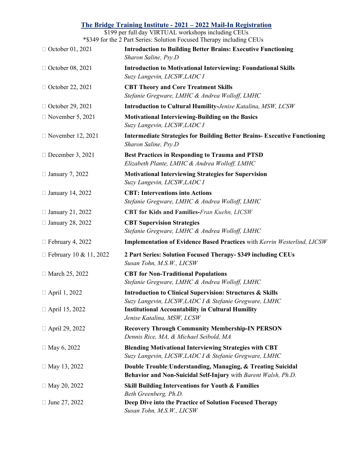|                          | <u>The Bridge Training Institute - 2021 – 2022 Mail-In Registration</u><br>\$199 per full day VIRTUAL workshops including CEUs |
|--------------------------|--------------------------------------------------------------------------------------------------------------------------------|
|                          | *\$349 for the 2 Part Series: Solution Focused Therapy including CEUs                                                          |
| □ October 01, 2021       | <b>Introduction to Building Better Brains: Executive Functioning</b><br>Sharon Saline, Psy.D                                   |
| □ October 08, 2021       | <b>Introduction to Motivational Interviewing: Foundational Skills</b><br>Suzy Langevin, LICSW, LADC I                          |
| □ October 22, 2021       | <b>CBT Theory and Core Treatment Skills</b><br>Stefanie Gregware, LMHC & Andrea Wolloff, LMHC                                  |
| $\Box$ October 29, 2021  | <b>Introduction to Cultural Humility-Jenise Katalina, MSW, LCSW</b>                                                            |
| $\Box$ November 5, 2021  | Motivational Interviewing-Building on the Basics<br>Suzy Langevin, LICSW, LADC I                                               |
| $\Box$ November 12, 2021 | <b>Intermediate Strategies for Building Better Brains- Executive Functioning</b><br>Sharon Saline, Psy.D                       |
| $\Box$ December 3, 2021  | <b>Best Practices in Responding to Trauma and PTSD</b><br>Elizabeth Plante, LMHC & Andrea Wolloff, LMHC                        |
| $\Box$ January 7, 2022   | <b>Motivational Interviewing Strategies for Supervision</b><br>Suzy Langevin, LICSW, LADC I                                    |
| $\Box$ January 14, 2022  | <b>CBT: Interventions into Actions</b><br>Stefanie Gregware, LMHC & Andrea Wolloff, LMHC                                       |
| $\Box$ January 21, 2022  | <b>CBT for Kids and Families-Fran Kuehn, LICSW</b>                                                                             |
| $\Box$ January 28, 2022  | <b>CBT Supervision Strategies</b><br>Stefanie Gregware, LMHC & Andrea Wolloff, LMHC                                            |
| $\Box$ February 4, 2022  | <b>Implementation of Evidence Based Practices</b> with Kerrin Westerlind, LICSW                                                |
| □ February 10 & 11, 2022 | 2 Part Series: Solution Focused Therapy- \$349 including CEUs<br>Susan Tohn, M.S.W., LICSW                                     |
| □ March 25, 2022         | <b>CBT</b> for Non-Traditional Populations<br>Stefanie Gregware, LMHC & Andrea Wolloff, LMHC                                   |
| □ April 1, 2022          | <b>Introduction to Clinical Supervision: Structures &amp; Skills</b><br>Suzy Langevin, LICSW, LADC I & Stefanie Gregware, LMHC |
| □ April 15, 2022         | <b>Institutional Accountability in Cultural Humility</b><br>Jenise Katalina, MSW, LCSW                                         |
| □ April 29, 2022         | <b>Recovery Through Community Membership-IN PERSON</b><br>Dennis Rice, MA, & Michael Seibold, MA                               |
| $\Box$ May 6, 2022       | <b>Blending Motivational Interviewing Strategies with CBT</b><br>Suzy Langevin, LICSW, LADC I & Stefanie Gregware, LMHC        |
| □ May 13, 2022           | Double Trouble: Understanding, Managing, & Treating Suicidal<br>Behavior and Non-Suicidal Self-Injury with Barent Walsh, Ph.D. |
| $\Box$ May 20, 2022      | <b>Skill Building Interventions for Youth &amp; Families</b><br>Beth Greenberg, Ph.D.                                          |
| $\Box$ June 27, 2022     | Deep Dive into the Practice of Solution Focused Therapy<br>Susan Tohn, M.S.W., LICSW                                           |